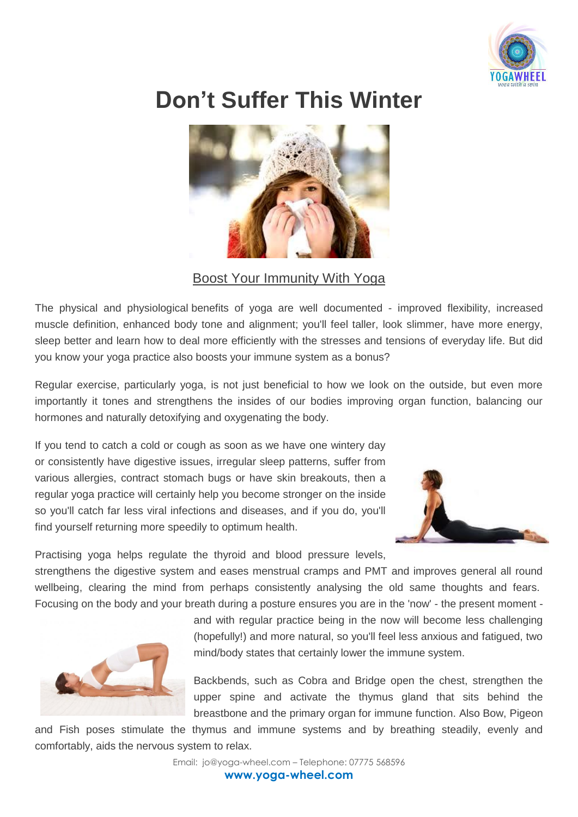

## **Don't Suffer This Winter**



## Boost Your Immunity With Yoga

The physical and physiological benefits of yoga are well documented - improved flexibility, increased muscle definition, enhanced body tone and alignment; you'll feel taller, look slimmer, have more energy, sleep better and learn how to deal more efficiently with the stresses and tensions of everyday life. But did you know your yoga practice also boosts your immune system as a [bonus?](http://www.healthandfitnesstravel.com/experts/angie-newson/boost-your-immune-system-with-yoga)

Regular exercise, particularly yoga, is not just beneficial to how we look on the outside, but even more importantly it tones and strengthens the insides of our bodies improving organ function, balancing our hormones and naturally detoxifying and oxygenating the body.

If you tend to catch a cold or cough as soon as we have one wintery day or consistently have digestive issues, irregular sleep patterns, suffer from various allergies, contract stomach bugs or have skin breakouts, then a regular yoga practice will certainly help you become stronger on the inside so you'll catch far less viral infections and diseases, and if you do, you'll find yourself returning more speedily to optimum health.



Practising yoga helps regulate the thyroid and blood pressure levels,

strengthens the digestive system and eases menstrual cramps and PMT and improves general all round wellbeing, clearing the mind from perhaps consistently analysing the old same thoughts and fears. Focusing on the body and your breath during a posture ensures you are in the 'now' - the present moment -

> and with regular practice being in the now will become less challenging (hopefully!) and more natural, so you'll feel less anxious and fatigued, two mind/body states that certainly lower the immune system.

Backbends, such as Cobra and Bridge open the chest, strengthen the upper spine and activate the thymus gland that sits behind the breastbone and the primary organ for immune function. Also Bow, Pigeon

and Fish poses stimulate the thymus and immune systems and by breathing steadily, evenly and comfortably, aids the nervous system to relax.

Email: jo@yoga-wheel.com – Telephone: 07775 568596